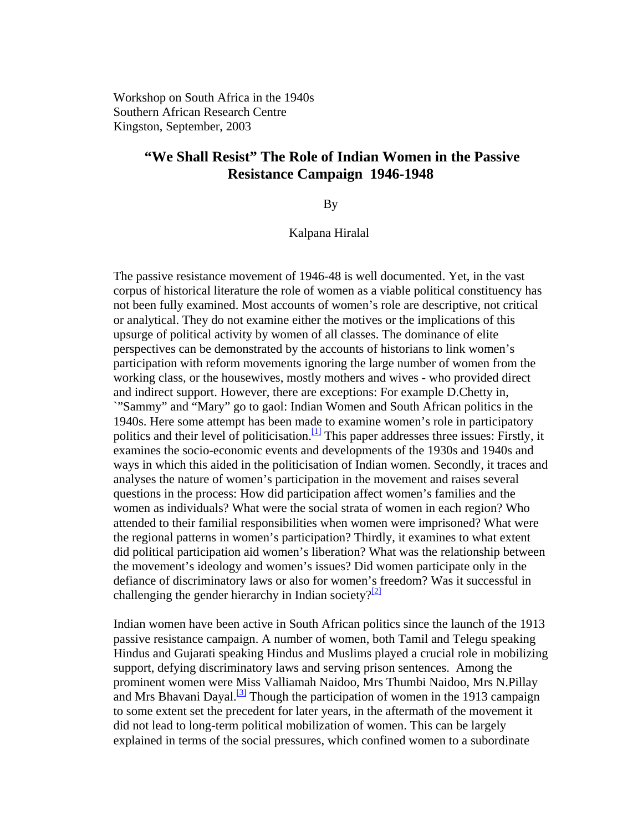Workshop on South Africa in the 1940s Southern African Research Centre Kingston, September, 2003

# **"We Shall Resist" The Role of Indian Women in the Passive Resistance Campaign 1946-1948**

By

Kalpana Hiralal

The passive resistance movement of 1946-48 is well documented. Yet, in the vast corpus of historical literature the role of women as a viable political constituency has not been fully examined. Most accounts of women's role are descriptive, not critical or analytical. They do not examine either the motives or the implications of this upsurge of political activity by women of all classes. The dominance of elite perspectives can be demonstrated by the accounts of historians to link women's participation with reform movements ignoring the large number of women from the working class, or the housewives, mostly mothers and wives - who provided direct and indirect support. However, there are exceptions: For example D.Chetty in, `"Sammy" and "Mary" go to gaol: Indian Women and South African politics in the 1940s. Here some attempt has been made to examine women's role in participatory politics and their level of politicisation.<sup>[1]</sup> This paper addresses three issues: Firstly, it examines the socio-economic events and developments of the 1930s and 1940s and ways in which this aided in the politicisation of Indian women. Secondly, it traces and analyses the nature of women's participation in the movement and raises several questions in the process: How did participation affect women's families and the women as individuals? What were the social strata of women in each region? Who attended to their familial responsibilities when women were imprisoned? What were the regional patterns in women's participation? Thirdly, it examines to what extent did political participation aid women's liberation? What was the relationship between the movement's ideology and women's issues? Did women participate only in the defiance of discriminatory laws or also for women's freedom? Was it successful in challenging the gender hierarchy in Indian society? $\frac{2}{2}$ 

Indian women have been active in South African politics since the launch of the 1913 passive resistance campaign. A number of women, both Tamil and Telegu speaking Hindus and Gujarati speaking Hindus and Muslims played a crucial role in mobilizing support, defying discriminatory laws and serving prison sentences. Among the prominent women were Miss Valliamah Naidoo, Mrs Thumbi Naidoo, Mrs N.Pillay and Mrs Bhavani Dayal.<sup>[3]</sup> Though the participation of women in the 1913 campaign to some extent set the precedent for later years, in the aftermath of the movement it did not lead to long-term political mobilization of women. This can be largely explained in terms of the social pressures, which confined women to a subordinate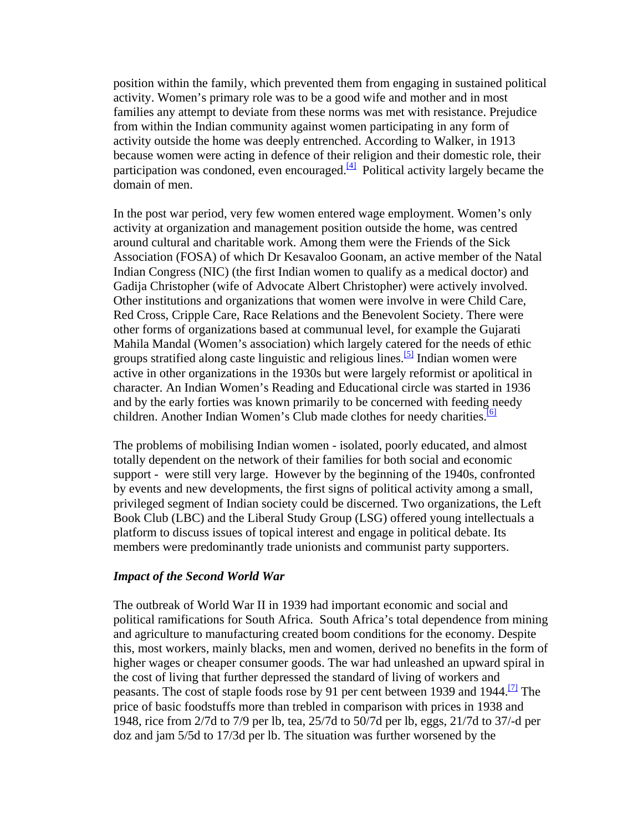position within the family, which prevented them from engaging in sustained political activity. Women's primary role was to be a good wife and mother and in most families any attempt to deviate from these norms was met with resistance. Prejudice from within the Indian community against women participating in any form of activity outside the home was deeply entrenched. According to Walker, in 1913 because women were acting in defence of their religion and their domestic role, their participation was condoned, even encouraged.<sup>[\[4\]](http://www.queensu.ca/sarc/Conferences/1940s/Hiralal.htm#_ftn4#_ftn4)</sup> Political activity largely became the domain of men.

In the post war period, very few women entered wage employment. Women's only activity at organization and management position outside the home, was centred around cultural and charitable work. Among them were the Friends of the Sick Association (FOSA) of which Dr Kesavaloo Goonam, an active member of the Natal Indian Congress (NIC) (the first Indian women to qualify as a medical doctor) and Gadija Christopher (wife of Advocate Albert Christopher) were actively involved. Other institutions and organizations that women were involve in were Child Care, Red Cross, Cripple Care, Race Relations and the Benevolent Society. There were other forms of organizations based at communual level, for example the Gujarati Mahila Mandal (Women's association) which largely catered for the needs of ethic groups stratified along caste linguistic and religious lines.<sup>[5]</sup> Indian women were active in other organizations in the 1930s but were largely reformist or apolitical in character. An Indian Women's Reading and Educational circle was started in 1936 and by the early forties was known primarily to be concerned with feeding [ne](http://www.queensu.ca/sarc/Conferences/1940s/Hiralal.htm#_ftn6#_ftn6)edy children. Another Indian Women's Club made clothes for needy charities.<sup>[\[6\]](http://www.queensu.ca/sarc/Conferences/1940s/Hiralal.htm#_ftn6#_ftn6)</sup>

The problems of mobilising Indian women - isolated, poorly educated, and almost totally dependent on the network of their families for both social and economic support - were still very large. However by the beginning of the 1940s, confronted by events and new developments, the first signs of political activity among a small, privileged segment of Indian society could be discerned. Two organizations, the Left Book Club (LBC) and the Liberal Study Group (LSG) offered young intellectuals a platform to discuss issues of topical interest and engage in political debate. Its members were predominantly trade unionists and communist party supporters.

#### *Impact of the Second World War*

The outbreak of World War II in 1939 had important economic and social and political ramifications for South Africa. South Africa's total dependence from mining and agriculture to manufacturing created boom conditions for the economy. Despite this, most workers, mainly blacks, men and women, derived no benefits in the form of higher wages or cheaper consumer goods. The war had unleashed an upward spiral in the cost of living that further depressed the standard of living of workers and peasants. The cost of staple foods rose by 91 per cent between 1939 and 1944.<sup>[\[7\]](http://www.queensu.ca/sarc/Conferences/1940s/Hiralal.htm#_ftn7#_ftn7)</sup> The price of basic foodstuffs more than trebled in comparison with prices in 1938 and 1948, rice from 2/7d to 7/9 per lb, tea, 25/7d to 50/7d per lb, eggs, 21/7d to 37/-d per doz and jam 5/5d to 17/3d per lb. The situation was further worsened by the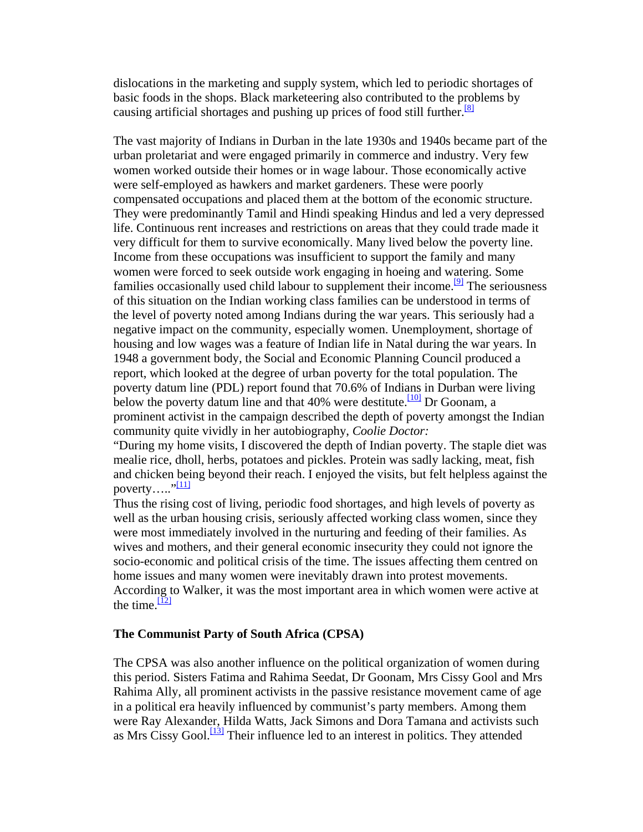dislocations in the marketing and supply system, which led to periodic shortages of basic foods in the shops. Black marketeering also contributed to the pro[b](http://www.queensu.ca/sarc/Conferences/1940s/Hiralal.htm#_ftn8#_ftn8)lems by causing artificial shortages and pushing up prices of food still further.<sup>[8]</sup>

The vast majority of Indians in Durban in the late 1930s and 1940s became part of the urban proletariat and were engaged primarily in commerce and industry. Very few women worked outside their homes or in wage labour. Those economically active were self-employed as hawkers and market gardeners. These were poorly compensated occupations and placed them at the bottom of the economic structure. They were predominantly Tamil and Hindi speaking Hindus and led a very depressed life. Continuous rent increases and restrictions on areas that they could trade made it very difficult for them to survive economically. Many lived below the poverty line. Income from these occupations was insufficient to support the family and many women were forced to seek outside work engaging in hoeing and watering. Some families occasionally used child labour to supplement their income.<sup>[9]</sup> The seriousness of this situation on the Indian working class families can be understood in terms of the level of poverty noted among Indians during the war years. This seriously had a negative impact on the community, especially women. Unemployment, shortage of housing and low wages was a feature of Indian life in Natal during the war years. In 1948 a government body, the Social and Economic Planning Council produced a report, which looked at the degree of urban poverty for the total population. The poverty datum line (PDL) report found that 70.6% of Indians in Durban were living below the poverty datum line and that 40% were destitute.<sup>[\[10\]](http://www.queensu.ca/sarc/Conferences/1940s/Hiralal.htm#_ftn10#_ftn10)</sup> Dr Goonam, a prominent activist in the campaign described the depth of poverty amongst the Indian community quite vividly in her autobiography, *Coolie Doctor:*

"During my home visits, I discovered the depth of Indian poverty. The staple diet was mealie rice, dholl, herbs, potatoes and pickles. Protein was sadly lacking, meat, fish and chicken being beyond their reach. I enjoyed the visits, but felt helpless against the poverty..... $"\cdot\cdot\cdot"$ 

Thus the rising cost of living, periodic food shortages, and high levels of poverty as well as the urban housing crisis, seriously affected working class women, since they were most immediately involved in the nurturing and feeding of their families. As wives and mothers, and their general economic insecurity they could not ignore the socio-economic and political crisis of the time. The issues affecting them centred on home issues and many women were inevitably drawn into protest movements. According to Walker, it was the most important area in which women were active at the time. $\frac{[12]}{[12]}$  $\frac{[12]}{[12]}$  $\frac{[12]}{[12]}$ 

## **The Communist Party of South Africa (CPSA)**

The CPSA was also another influence on the political organization of women during this period. Sisters Fatima and Rahima Seedat, Dr Goonam, Mrs Cissy Gool and Mrs Rahima Ally, all prominent activists in the passive resistance movement came of age in a political era heavily influenced by communist's party members. Among them were Ray Alexander, Hilda Watts, Jack Simons and Dora Tamana and activists such as Mrs Cissy Gool.<sup>[\[13\]](http://www.queensu.ca/sarc/Conferences/1940s/Hiralal.htm#_ftn13#_ftn13)</sup> Their influence led to an interest in politics. They attended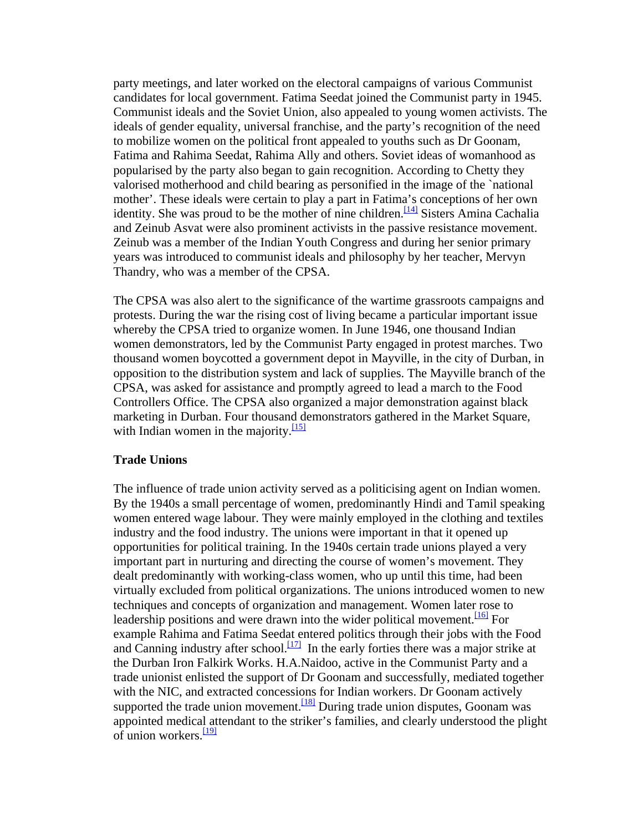party meetings, and later worked on the electoral campaigns of various Communist candidates for local government. Fatima Seedat joined the Communist party in 1945. Communist ideals and the Soviet Union, also appealed to young women activists. The ideals of gender equality, universal franchise, and the party's recognition of the need to mobilize women on the political front appealed to youths such as Dr Goonam, Fatima and Rahima Seedat, Rahima Ally and others. Soviet ideas of womanhood as popularised by the party also began to gain recognition. According to Chetty they valorised motherhood and child bearing as personified in the image of the `national mother'. These ideals were certain to play a part in Fatima's conceptions of her own identity. She was proud to be the mother of nine children.<sup>[14]</sup> Sisters Amina Cachalia and Zeinub Asvat were also prominent activists in the passive resistance movement. Zeinub was a member of the Indian Youth Congress and during her senior primary years was introduced to communist ideals and philosophy by her teacher, Mervyn Thandry, who was a member of the CPSA.

The CPSA was also alert to the significance of the wartime grassroots campaigns and protests. During the war the rising cost of living became a particular important issue whereby the CPSA tried to organize women. In June 1946, one thousand Indian women demonstrators, led by the Communist Party engaged in protest marches. Two thousand women boycotted a government depot in Mayville, in the city of Durban, in opposition to the distribution system and lack of supplies. The Mayville branch of the CPSA, was asked for assistance and promptly agreed to lead a march to the Food Controllers Office. The CPSA also organized a major demonstration against black marketing in Durban. Four thousand demonstrators gathered in the Market Square, with Indian women in the majority. $\frac{15}{15}$ 

#### **Trade Unions**

The influence of trade union activity served as a politicising agent on Indian women. By the 1940s a small percentage of women, predominantly Hindi and Tamil speaking women entered wage labour. They were mainly employed in the clothing and textiles industry and the food industry. The unions were important in that it opened up opportunities for political training. In the 1940s certain trade unions played a very important part in nurturing and directing the course of women's movement. They dealt predominantly with working-class women, who up until this time, had been virtually excluded from political organizations. The unions introduced women to new techniques and concepts of organization and management. Women later rose to leadership positions and were drawn into the wider political movement.<sup>[\[16\]](http://www.queensu.ca/sarc/Conferences/1940s/Hiralal.htm#_ftn16#_ftn16)</sup> For example Rahima and Fatima Seedat entered politics through their jobs with the Food and Canning industry after school.<sup>[17]</sup> In the early forties there was a major strike at the Durban Iron Falkirk Works. H.A.Naidoo, active in the Communist Party and a trade unionist enlisted the support of Dr Goonam and successfully, mediated together with the NIC, and extracted concessions for Indian workers. Dr Goonam actively supported the trade union movement.<sup>[18]</sup> During trade union disputes, Goonam was appointed medical attendant to the striker's families, and clearly understood the plight of union workers. $\frac{[19]}{[19]}$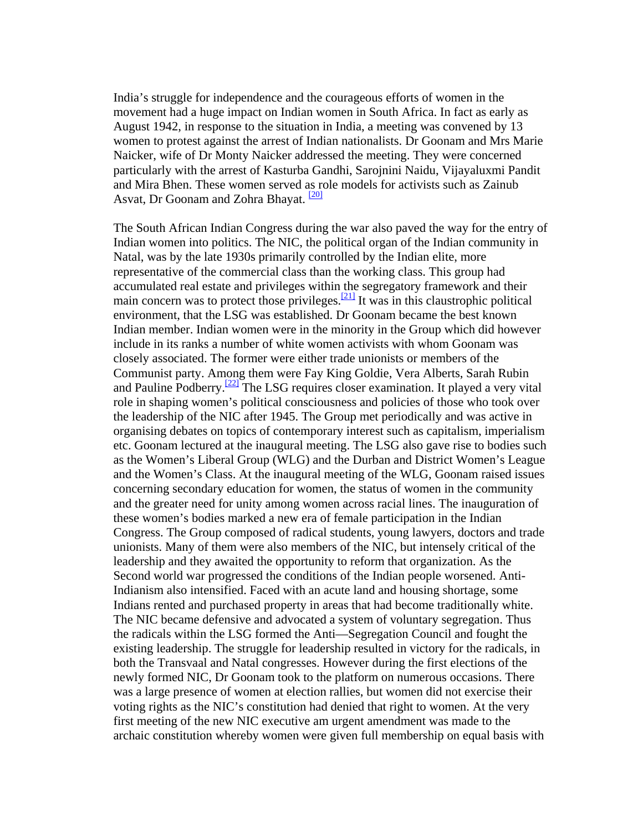India's struggle for independence and the courageous efforts of women in the movement had a huge impact on Indian women in South Africa. In fact as early as August 1942, in response to the situation in India, a meeting was convened by 13 women to protest against the arrest of Indian nationalists. Dr Goonam and Mrs Marie Naicker, wife of Dr Monty Naicker addressed the meeting. They were concerned particularly with the arrest of Kasturba Gandhi, Sarojnini Naidu, Vijayaluxmi Pandit and Mira Bhen. These women served as role models for activists such as Zainub Asvat, Dr Goonam and Zohra Bhayat. <sup>[\[20\]](http://www.queensu.ca/sarc/Conferences/1940s/Hiralal.htm#_ftn20#_ftn20)</sup>

The South African Indian Congress during the war also paved the way for the entry of Indian women into politics. The NIC, the political organ of the Indian community in Natal, was by the late 1930s primarily controlled by the Indian elite, more representative of the commercial class than the working class. This group had accumulated real estate and privileges within the segregatory framework and their main concern was to protect those privileges.<sup>[\[21\]](http://www.queensu.ca/sarc/Conferences/1940s/Hiralal.htm#_ftn21#_ftn21)</sup> It was in this claustrophic political environment, that the LSG was established. Dr Goonam became the best known Indian member. Indian women were in the minority in the Group which did however include in its ranks a number of white women activists with whom Goonam was closely associated. The former were either trade unionists or members of the Communist party. Among them were Fay King Goldie, Vera Alberts, Sarah Rubin and Pauline Podberry.<sup>[22]</sup> The LSG requires closer examination. It played a very vital role in shaping women's political consciousness and policies of those who took over the leadership of the NIC after 1945. The Group met periodically and was active in organising debates on topics of contemporary interest such as capitalism, imperialism etc. Goonam lectured at the inaugural meeting. The LSG also gave rise to bodies such as the Women's Liberal Group (WLG) and the Durban and District Women's League and the Women's Class. At the inaugural meeting of the WLG, Goonam raised issues concerning secondary education for women, the status of women in the community and the greater need for unity among women across racial lines. The inauguration of these women's bodies marked a new era of female participation in the Indian Congress. The Group composed of radical students, young lawyers, doctors and trade unionists. Many of them were also members of the NIC, but intensely critical of the leadership and they awaited the opportunity to reform that organization. As the Second world war progressed the conditions of the Indian people worsened. Anti-Indianism also intensified. Faced with an acute land and housing shortage, some Indians rented and purchased property in areas that had become traditionally white. The NIC became defensive and advocated a system of voluntary segregation. Thus the radicals within the LSG formed the Anti—Segregation Council and fought the existing leadership. The struggle for leadership resulted in victory for the radicals, in both the Transvaal and Natal congresses. However during the first elections of the newly formed NIC, Dr Goonam took to the platform on numerous occasions. There was a large presence of women at election rallies, but women did not exercise their voting rights as the NIC's constitution had denied that right to women. At the very first meeting of the new NIC executive am urgent amendment was made to the archaic constitution whereby women were given full membership on equal basis with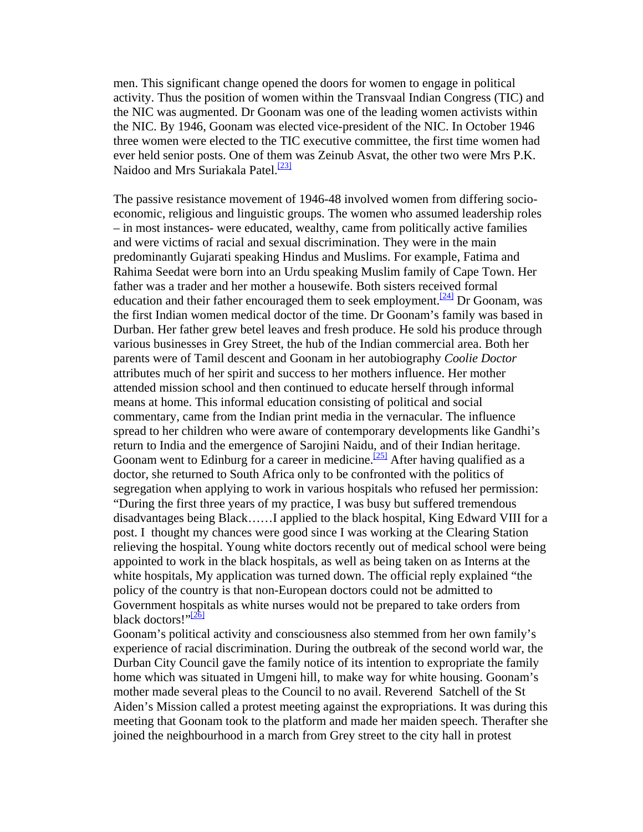men. This significant change opened the doors for women to engage in political activity. Thus the position of women within the Transvaal Indian Congress (TIC) and the NIC was augmented. Dr Goonam was one of the leading women activists within the NIC. By 1946, Goonam was elected vice-president of the NIC. In October 1946 three women were elected to the TIC executive committee, the first time women had ever held senior posts. One of them was Zeinub Asvat, the other two were Mrs P.K. Naidoo and Mrs Suriakala Patel.<sup>[23]</sup>

The passive resistance movement of 1946-48 involved women from differing socioeconomic, religious and linguistic groups. The women who assumed leadership roles – in most instances- were educated, wealthy, came from politically active families and were victims of racial and sexual discrimination. They were in the main predominantly Gujarati speaking Hindus and Muslims. For example, Fatima and Rahima Seedat were born into an Urdu speaking Muslim family of Cape Town. Her father was a trader and her mother a housewife. Both sisters received formal education and their father encouraged them to seek employment.<sup>[\[24\]](http://www.queensu.ca/sarc/Conferences/1940s/Hiralal.htm#_ftn24#_ftn24)</sup> Dr Goonam, was the first Indian women medical doctor of the time. Dr Goonam's family was based in Durban. Her father grew betel leaves and fresh produce. He sold his produce through various businesses in Grey Street, the hub of the Indian commercial area. Both her parents were of Tamil descent and Goonam in her autobiography *Coolie Doctor* attributes much of her spirit and success to her mothers influence. Her mother attended mission school and then continued to educate herself through informal means at home. This informal education consisting of political and social commentary, came from the Indian print media in the vernacular. The influence spread to her children who were aware of contemporary developments like Gandhi's return to India and the emergence of Sarojini Naidu, and of their Indian heritage. Goonam went to Edinburg for a career in medicine.<sup>[25]</sup> After having qualified as a doctor, she returned to South Africa only to be confronted with the politics of segregation when applying to work in various hospitals who refused her permission: "During the first three years of my practice, I was busy but suffered tremendous disadvantages being Black……I applied to the black hospital, King Edward VIII for a post. I thought my chances were good since I was working at the Clearing Station relieving the hospital. Young white doctors recently out of medical school were being appointed to work in the black hospitals, as well as being taken on as Interns at the white hospitals, My application was turned down. The official reply explained "the policy of the country is that non-European doctors could not be admitted to Government hosp[it](http://www.queensu.ca/sarc/Conferences/1940s/Hiralal.htm#_ftn26#_ftn26)als as white nurses would not be prepared to take orders from black doctors!" $^{[26]}$  $^{[26]}$  $^{[26]}$ 

Goonam's political activity and consciousness also stemmed from her own family's experience of racial discrimination. During the outbreak of the second world war, the Durban City Council gave the family notice of its intention to expropriate the family home which was situated in Umgeni hill, to make way for white housing. Goonam's mother made several pleas to the Council to no avail. Reverend Satchell of the St Aiden's Mission called a protest meeting against the expropriations. It was during this meeting that Goonam took to the platform and made her maiden speech. Therafter she joined the neighbourhood in a march from Grey street to the city hall in protest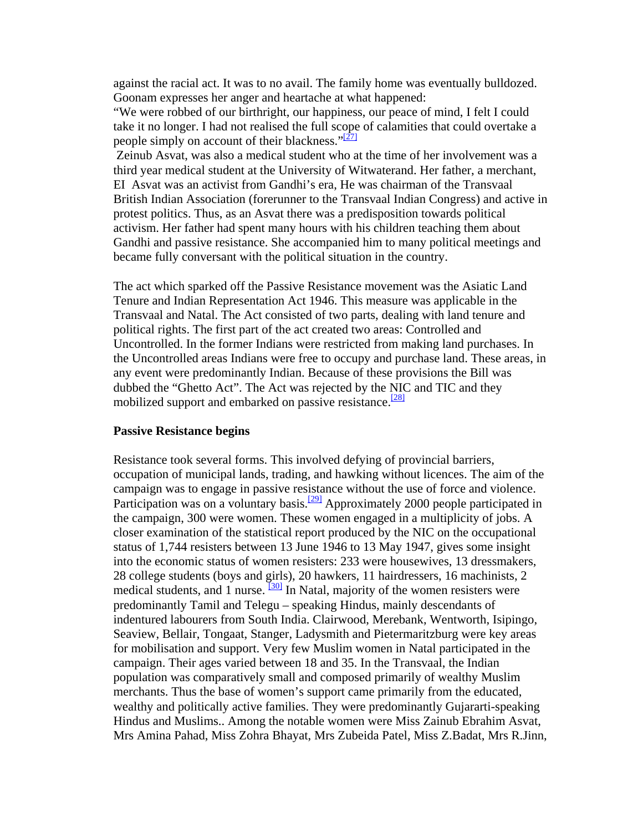against the racial act. It was to no avail. The family home was eventually bulldozed. Goonam expresses her anger and heartache at what happened:

"We were robbed of our birthright, our happiness, our peace of mind, I felt I could take it no longer. I had not realised the full scope of calamities that could overtake a people simply on account of their blackness." $\frac{[27]}{[27]}$ 

 Zeinub Asvat, was also a medical student who at the time of her involvement was a third year medical student at the University of Witwaterand. Her father, a merchant, EI Asvat was an activist from Gandhi's era, He was chairman of the Transvaal British Indian Association (forerunner to the Transvaal Indian Congress) and active in protest politics. Thus, as an Asvat there was a predisposition towards political activism. Her father had spent many hours with his children teaching them about Gandhi and passive resistance. She accompanied him to many political meetings and became fully conversant with the political situation in the country.

The act which sparked off the Passive Resistance movement was the Asiatic Land Tenure and Indian Representation Act 1946. This measure was applicable in the Transvaal and Natal. The Act consisted of two parts, dealing with land tenure and political rights. The first part of the act created two areas: Controlled and Uncontrolled. In the former Indians were restricted from making land purchases. In the Uncontrolled areas Indians were free to occupy and purchase land. These areas, in any event were predominantly Indian. Because of these provisions the Bill was dubbed the "Ghetto Act". The Act was rejected by the NIC and TIC and they mobilized support and embarked on passive resistance.<sup>[28]</sup>

#### **Passive Resistance begins**

Resistance took several forms. This involved defying of provincial barriers, occupation of municipal lands, trading, and hawking without licences. The aim of the campaign was to engage in passive resistance without the use of force and violence. Participation was on a voluntary basis.<sup>[29]</sup> Approximately 2000 people participated in the campaign, 300 were women. These women engaged in a multiplicity of jobs. A closer examination of the statistical report produced by the NIC on the occupational status of 1,744 resisters between 13 June 1946 to 13 May 1947, gives some insight into the economic status of women resisters: 233 were housewives, 13 dressmakers, 28 college students (boys and girls), 20 hawkers, 11 hairdressers, 16 machinists, 2 medical students, and 1 nurse.  $\frac{30}{130}$  In Natal, majority of the women resisters were predominantly Tamil and Telegu – speaking Hindus, mainly descendants of indentured labourers from South India. Clairwood, Merebank, Wentworth, Isipingo, Seaview, Bellair, Tongaat, Stanger, Ladysmith and Pietermaritzburg were key areas for mobilisation and support. Very few Muslim women in Natal participated in the campaign. Their ages varied between 18 and 35. In the Transvaal, the Indian population was comparatively small and composed primarily of wealthy Muslim merchants. Thus the base of women's support came primarily from the educated, wealthy and politically active families. They were predominantly Gujararti-speaking Hindus and Muslims.. Among the notable women were Miss Zainub Ebrahim Asvat, Mrs Amina Pahad, Miss Zohra Bhayat, Mrs Zubeida Patel, Miss Z.Badat, Mrs R.Jinn,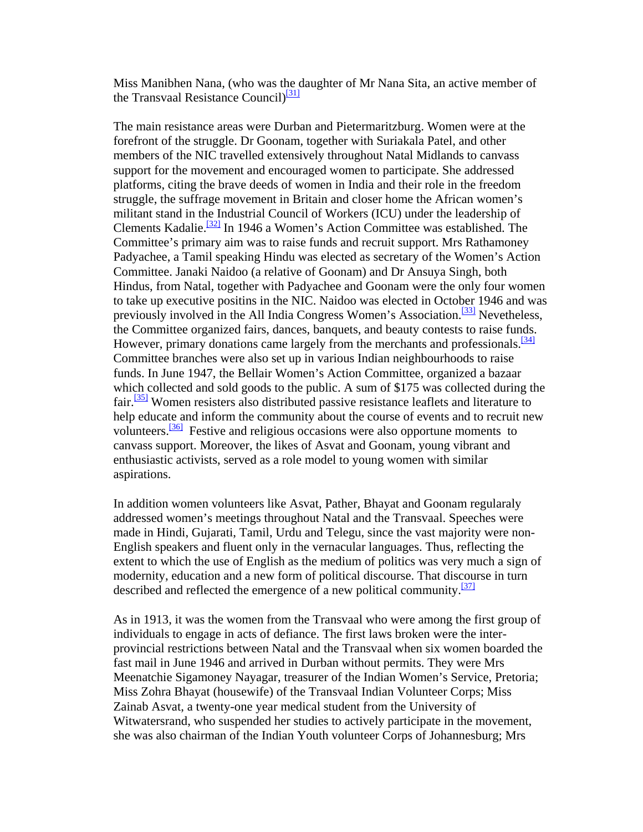Miss Manibhen Nana, (who was the [d](http://www.queensu.ca/sarc/Conferences/1940s/Hiralal.htm#_ftn31#_ftn31)aughter of Mr Nana Sita, an active member of the Transvaal Resistance Council $\frac{[31]}{]}$ 

The main resistance areas were Durban and Pietermaritzburg. Women were at the forefront of the struggle. Dr Goonam, together with Suriakala Patel, and other members of the NIC travelled extensively throughout Natal Midlands to canvass support for the movement and encouraged women to participate. She addressed platforms, citing the brave deeds of women in India and their role in the freedom struggle, the suffrage movement in Britain and closer home the African women's militant stand in the Industrial Council of Workers (ICU) under the leadership of Clements Kadalie.<sup>[\[32\]](http://www.queensu.ca/sarc/Conferences/1940s/Hiralal.htm#_ftn32#_ftn32)</sup> In 1946 a Women's Action Committee was established. The Committee's primary aim was to raise funds and recruit support. Mrs Rathamoney Padyachee, a Tamil speaking Hindu was elected as secretary of the Women's Action Committee. Janaki Naidoo (a relative of Goonam) and Dr Ansuya Singh, both Hindus, from Natal, together with Padyachee and Goonam were the only four women to take up executive positins in the NIC. Naidoo was elected in October 1946 and was previously involved in the All India Congress Women's Association.<sup>[33]</sup> Nevetheless, the Committee organized fairs, dances, banquets, and beauty contests to raise funds. However, primary donations came largely from the merchants and professionals.<sup>[34]</sup> Committee branches were also set up in various Indian neighbourhoods to raise funds. In June 1947, the Bellair Women's Action Committee, organized a bazaar which collected and sold goods to the public. A sum of \$175 was collected during the fair.<sup>[\[35\]](http://www.queensu.ca/sarc/Conferences/1940s/Hiralal.htm#_ftn35#_ftn35)</sup> Women resisters also distributed passive resistance leaflets and literature to help educate and inform the community about the course of events and to recruit new volunteers.<sup>[36]</sup> Festive and religious occasions were also opportune moments to canvass support. Moreover, the likes of Asvat and Goonam, young vibrant and enthusiastic activists, served as a role model to young women with similar aspirations.

In addition women volunteers like Asvat, Pather, Bhayat and Goonam regularaly addressed women's meetings throughout Natal and the Transvaal. Speeches were made in Hindi, Gujarati, Tamil, Urdu and Telegu, since the vast majority were non-English speakers and fluent only in the vernacular languages. Thus, reflecting the extent to which the use of English as the medium of politics was very much a sign of modernity, education and a new form of political discourse. That discourse in turn described and reflected the emergence of a new political community.<sup>[37]</sup>

As in 1913, it was the women from the Transvaal who were among the first group of individuals to engage in acts of defiance. The first laws broken were the interprovincial restrictions between Natal and the Transvaal when six women boarded the fast mail in June 1946 and arrived in Durban without permits. They were Mrs Meenatchie Sigamoney Nayagar, treasurer of the Indian Women's Service, Pretoria; Miss Zohra Bhayat (housewife) of the Transvaal Indian Volunteer Corps; Miss Zainab Asvat, a twenty-one year medical student from the University of Witwatersrand, who suspended her studies to actively participate in the movement, she was also chairman of the Indian Youth volunteer Corps of Johannesburg; Mrs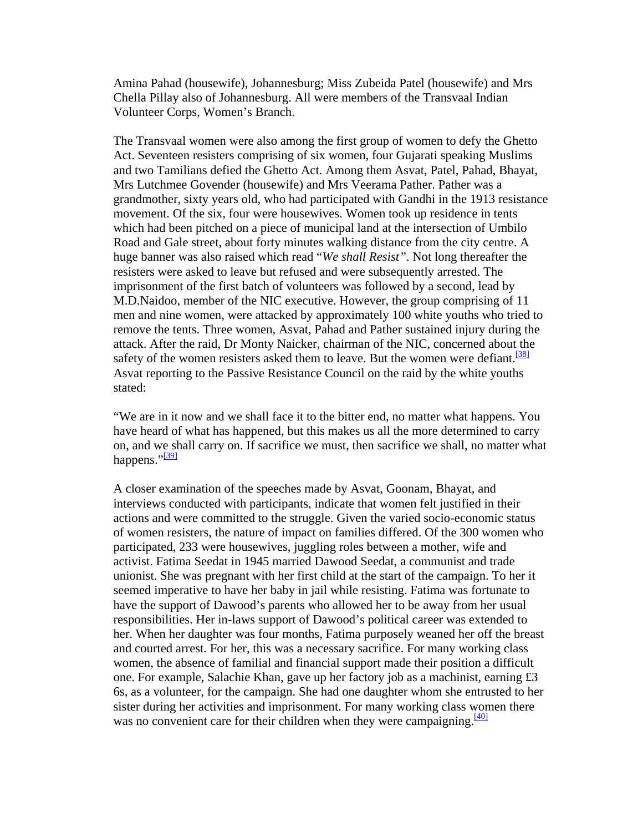Amina Pahad (housewife), Johannesburg; Miss Zubeida Patel (housewife) and Mrs Chella Pillay also of Johannesburg. All were members of the Transvaal Indian Volunteer Corps, Women's Branch.

The Transvaal women were also among the first group of women to defy the Ghetto Act. Seventeen resisters comprising of six women, four Gujarati speaking Muslims and two Tamilians defied the Ghetto Act. Among them Asvat, Patel, Pahad, Bhayat, Mrs Lutchmee Govender (housewife) and Mrs Veerama Pather. Pather was a grandmother, sixty years old, who had participated with Gandhi in the 1913 resistance movement. Of the six, four were housewives. Women took up residence in tents which had been pitched on a piece of municipal land at the intersection of Umbilo Road and Gale street, about forty minutes walking distance from the city centre. A huge banner was also raised which read "*We shall Resist"*. Not long thereafter the resisters were asked to leave but refused and were subsequently arrested. The imprisonment of the first batch of volunteers was followed by a second, lead by M.D.Naidoo, member of the NIC executive. However, the group comprising of 11 men and nine women, were attacked by approximately 100 white youths who tried to remove the tents. Three women, Asvat, Pahad and Pather sustained injury during the attack. After the raid, Dr Monty Naicker, chairman of the NIC, concerned about the safety of the women resisters asked them to leave. But the women were defiant.<sup>[38]</sup> Asvat reporting to the Passive Resistance Council on the raid by the white youths stated:

"We are in it now and we shall face it to the bitter end, no matter what happens. You have heard of what has happened, but this makes us all the more determined to carry on, and we s[h](http://www.queensu.ca/sarc/Conferences/1940s/Hiralal.htm#_ftn39#_ftn39)all carry on. If sacrifice we must, then sacrifice we shall, no matter what happens." $\frac{1391}{2}$ 

A closer examination of the speeches made by Asvat, Goonam, Bhayat, and interviews conducted with participants, indicate that women felt justified in their actions and were committed to the struggle. Given the varied socio-economic status of women resisters, the nature of impact on families differed. Of the 300 women who participated, 233 were housewives, juggling roles between a mother, wife and activist. Fatima Seedat in 1945 married Dawood Seedat, a communist and trade unionist. She was pregnant with her first child at the start of the campaign. To her it seemed imperative to have her baby in jail while resisting. Fatima was fortunate to have the support of Dawood's parents who allowed her to be away from her usual responsibilities. Her in-laws support of Dawood's political career was extended to her. When her daughter was four months, Fatima purposely weaned her off the breast and courted arrest. For her, this was a necessary sacrifice. For many working class women, the absence of familial and financial support made their position a difficult one. For example, Salachie Khan, gave up her factory job as a machinist, earning £3 6s, as a volunteer, for the campaign. She had one daughter whom she entrusted to her sister during her activities and imprisonment. For many working class wo[m](http://www.queensu.ca/sarc/Conferences/1940s/Hiralal.htm#_ftn40#_ftn40)en there was no convenient care for their children when they were campaigning.  $\frac{[40]}{[40]}$  $\frac{[40]}{[40]}$  $\frac{[40]}{[40]}$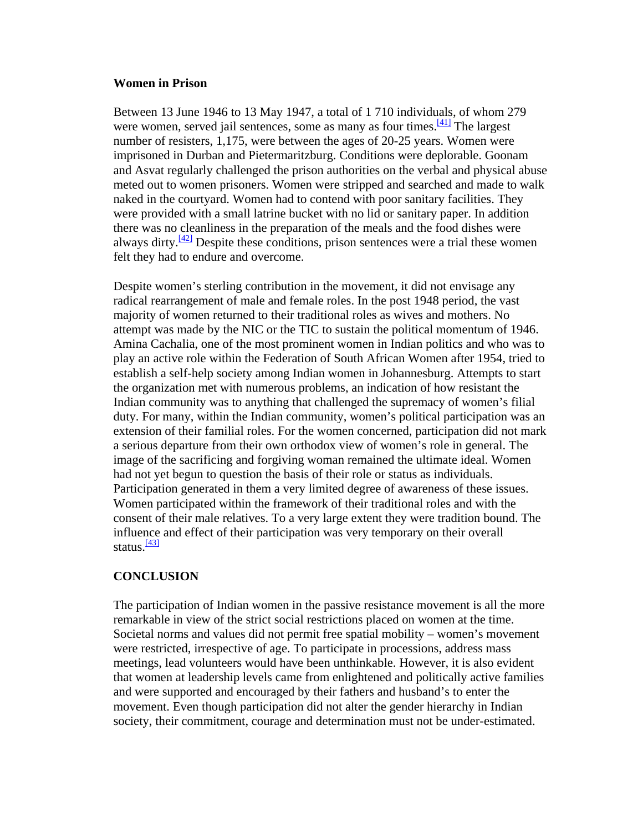### **Women in Prison**

Between 13 June 1946 to 13 May 1947, a total of 1 710 individuals, of whom 279 were women, served jail sentences, some as many as four times.  $\frac{[41]}{[41]}$  The largest number of resisters, 1,175, were between the ages of 20-25 years. Women were imprisoned in Durban and Pietermaritzburg. Conditions were deplorable. Goonam and Asvat regularly challenged the prison authorities on the verbal and physical abuse meted out to women prisoners. Women were stripped and searched and made to walk naked in the courtyard. Women had to contend with poor sanitary facilities. They were provided with a small latrine bucket with no lid or sanitary paper. In addition there was no cleanliness in the preparation of the meals and the food dishes were always dirty. $\frac{[42]}{]}$  $\frac{[42]}{]}$  $\frac{[42]}{]}$  Despite these conditions, prison sentences were a trial these women felt they had to endure and overcome.

Despite women's sterling contribution in the movement, it did not envisage any radical rearrangement of male and female roles. In the post 1948 period, the vast majority of women returned to their traditional roles as wives and mothers. No attempt was made by the NIC or the TIC to sustain the political momentum of 1946. Amina Cachalia, one of the most prominent women in Indian politics and who was to play an active role within the Federation of South African Women after 1954, tried to establish a self-help society among Indian women in Johannesburg. Attempts to start the organization met with numerous problems, an indication of how resistant the Indian community was to anything that challenged the supremacy of women's filial duty. For many, within the Indian community, women's political participation was an extension of their familial roles. For the women concerned, participation did not mark a serious departure from their own orthodox view of women's role in general. The image of the sacrificing and forgiving woman remained the ultimate ideal. Women had not yet begun to question the basis of their role or status as individuals. Participation generated in them a very limited degree of awareness of these issues. Women participated within the framework of their traditional roles and with the consent of their male relatives. To a very large extent they were tradition bound. The influenc[e](http://www.queensu.ca/sarc/Conferences/1940s/Hiralal.htm#_ftn43#_ftn43) and effect of their participation was very temporary on their overall status. $\frac{[43]}{[43]}$ 

## **CONCLUSION**

The participation of Indian women in the passive resistance movement is all the more remarkable in view of the strict social restrictions placed on women at the time. Societal norms and values did not permit free spatial mobility – women's movement were restricted, irrespective of age. To participate in processions, address mass meetings, lead volunteers would have been unthinkable. However, it is also evident that women at leadership levels came from enlightened and politically active families and were supported and encouraged by their fathers and husband's to enter the movement. Even though participation did not alter the gender hierarchy in Indian society, their commitment, courage and determination must not be under-estimated.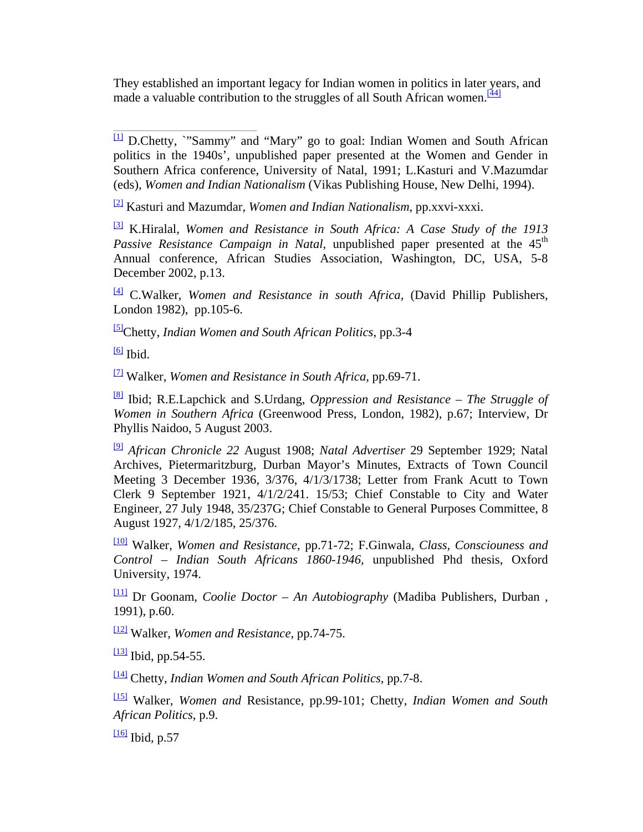They established an important legacy for Indian women in politics in later years, and made a valuable contribution to the struggles of all South African women.<sup>[\[44\]](http://www.queensu.ca/sarc/Conferences/1940s/Hiralal.htm#_ftn44#_ftn44)</sup>

 $\Box$  D.Chetty, "Sammy" and "Mary" go to goal: Indian Women and South African politics in the 1940s', unpublished paper presented at the Women and Gender in Southern Africa conference, University of Natal, 1991; L.Kasturi and V.Mazumdar (eds), *Women and Indian Nationalism* (Vikas Publishing House, New Delhi, 1994).

[\[2\]](http://www.queensu.ca/sarc/Conferences/1940s/Hiralal.htm#_ftnref2#_ftnref2) Kasturi and Mazumdar, *Women and Indian Nationalism*, pp.xxvi-xxxi.

[\[3\]](http://www.queensu.ca/sarc/Conferences/1940s/Hiralal.htm#_ftnref3#_ftnref3) K.Hiralal, *Women and Resistance in South Africa: A Case Study of the 1913 Passive Resistance Campaign in Natal*, unpublished paper presented at the 45<sup>th</sup> Annual conference, African Studies Association, Washington, DC, USA, 5-8 December 2002, p.13.

[\[4\]](http://www.queensu.ca/sarc/Conferences/1940s/Hiralal.htm#_ftnref4#_ftnref4) C.Walker, *Women and Resistance in south Africa,* (David Phillip Publishers, London 1982), pp.105-6.

[\[5\]](http://www.queensu.ca/sarc/Conferences/1940s/Hiralal.htm#_ftnref5#_ftnref5)Chetty, *Indian Women and South African Politics*, pp.3-4

 $[6]$  Ibid.

[\[7\]](http://www.queensu.ca/sarc/Conferences/1940s/Hiralal.htm#_ftnref7#_ftnref7) Walker, *Women and Resistance in South Africa*, pp.69-71.

[\[8\]](http://www.queensu.ca/sarc/Conferences/1940s/Hiralal.htm#_ftnref8#_ftnref8) Ibid; R.E.Lapchick and S.Urdang, *Oppression and Resistance – The Struggle of Women in Southern Africa* (Greenwood Press, London, 1982), p.67; Interview, Dr Phyllis Naidoo, 5 August 2003.

[\[9\]](http://www.queensu.ca/sarc/Conferences/1940s/Hiralal.htm#_ftnref9#_ftnref9) *African Chronicle 22* August 1908; *Natal Advertiser* 29 September 1929; Natal Archives, Pietermaritzburg, Durban Mayor's Minutes, Extracts of Town Council Meeting 3 December 1936, 3/376, 4/1/3/1738; Letter from Frank Acutt to Town Clerk 9 September 1921, 4/1/2/241. 15/53; Chief Constable to City and Water Engineer, 27 July 1948, 35/237G; Chief Constable to General Purposes Committee, 8 August 1927, 4/1/2/185, 25/376.

[\[10\]](http://www.queensu.ca/sarc/Conferences/1940s/Hiralal.htm#_ftnref10#_ftnref10) Walker, *Women and Resistance*, pp.71-72; F.Ginwala, *Class, Consciouness and Control – Indian South Africans 1860-1946*, unpublished Phd thesis, Oxford University, 1974.

[\[11\]](http://www.queensu.ca/sarc/Conferences/1940s/Hiralal.htm#_ftnref11#_ftnref11) Dr Goonam, *Coolie Doctor – An Autobiography* (Madiba Publishers, Durban , 1991), p.60.

[\[12\]](http://www.queensu.ca/sarc/Conferences/1940s/Hiralal.htm#_ftnref12#_ftnref12) Walker, *Women and Resistance*, pp.74-75.

 $\frac{13}{3}$  Ibid, pp.54-55.

[\[14\]](http://www.queensu.ca/sarc/Conferences/1940s/Hiralal.htm#_ftnref14#_ftnref14) Chetty, *Indian Women and South African Politics*, pp.7-8.

[\[15\]](http://www.queensu.ca/sarc/Conferences/1940s/Hiralal.htm#_ftnref15#_ftnref15) Walker, *Women and* Resistance, pp.99-101; Chetty, *Indian Women and South African Politics*, p.9.

[\[16\]](http://www.queensu.ca/sarc/Conferences/1940s/Hiralal.htm#_ftnref16#_ftnref16) Ibid*,* p.57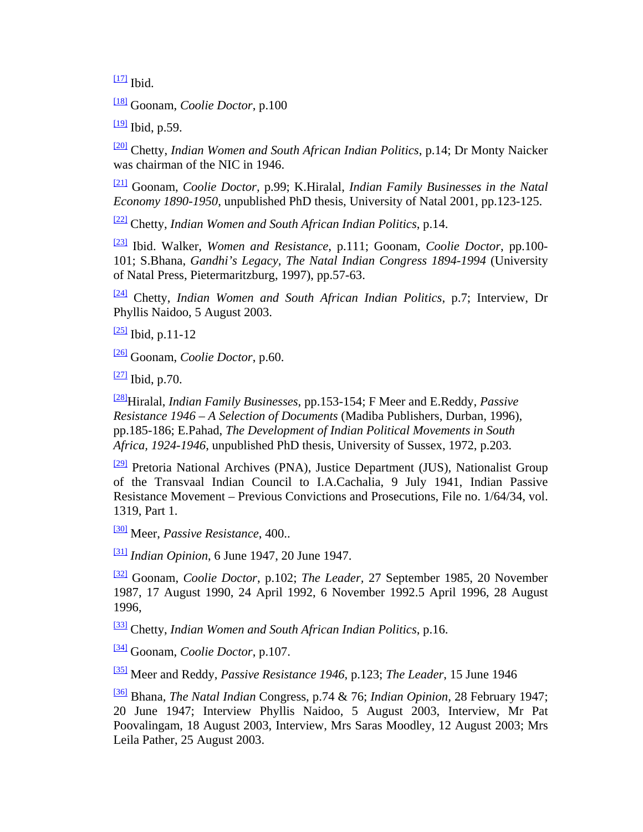$117$  Ibid.

[\[18\]](http://www.queensu.ca/sarc/Conferences/1940s/Hiralal.htm#_ftnref18#_ftnref18) Goonam, *Coolie Doctor*, p.100

 $\frac{19}{9}$  Ibid, p.59.

[\[20\]](http://www.queensu.ca/sarc/Conferences/1940s/Hiralal.htm#_ftnref20#_ftnref20) Chetty, *Indian Women and South African Indian Politics*, p.14; Dr Monty Naicker was chairman of the NIC in 1946.

[\[21\]](http://www.queensu.ca/sarc/Conferences/1940s/Hiralal.htm#_ftnref21#_ftnref21) Goonam, *Coolie Doctor,* p.99; K.Hiralal, *Indian Family Businesses in the Natal Economy 1890-1950*, unpublished PhD thesis, University of Natal 2001, pp.123-125.

[\[22\]](http://www.queensu.ca/sarc/Conferences/1940s/Hiralal.htm#_ftnref22#_ftnref22) Chetty, *Indian Women and South African Indian Politics*, p.14.

[\[23\]](http://www.queensu.ca/sarc/Conferences/1940s/Hiralal.htm#_ftnref23#_ftnref23) Ibid. Walker, *Women and Resistance*, p.111; Goonam, *Coolie Doctor*, pp.100- 101; S.Bhana, *Gandhi's Legacy, The Natal Indian Congress 1894-1994* (University of Natal Press, Pietermaritzburg, 1997), pp.57-63.

[\[24\]](http://www.queensu.ca/sarc/Conferences/1940s/Hiralal.htm#_ftnref24#_ftnref24) Chetty, *Indian Women and South African Indian Politics*, p.7; Interview, Dr Phyllis Naidoo, 5 August 2003.

 $\frac{[25]}{[26]}$  $\frac{[25]}{[26]}$  $\frac{[25]}{[26]}$  Ibid, p.11-12

[\[26\]](http://www.queensu.ca/sarc/Conferences/1940s/Hiralal.htm#_ftnref26#_ftnref26) Goonam, *Coolie Doctor*, p.60.

 $\frac{[27]}{[21]}$  $\frac{[27]}{[21]}$  $\frac{[27]}{[21]}$  Ibid, p.70.

[\[28\]](http://www.queensu.ca/sarc/Conferences/1940s/Hiralal.htm#_ftnref28#_ftnref28)Hiralal, *Indian Family Businesses*, pp.153-154; F Meer and E.Reddy, *Passive Resistance 1946 – A Selection of Documents* (Madiba Publishers, Durban, 1996), pp.185-186; E.Pahad, *The Development of Indian Political Movements in South Africa, 1924-1946*, unpublished PhD thesis, University of Sussex, 1972, p.203.

[\[29\]](http://www.queensu.ca/sarc/Conferences/1940s/Hiralal.htm#_ftnref29#_ftnref29) Pretoria National Archives (PNA), Justice Department (JUS), Nationalist Group of the Transvaal Indian Council to I.A.Cachalia, 9 July 1941, Indian Passive Resistance Movement – Previous Convictions and Prosecutions, File no. 1/64/34, vol. 1319, Part 1.

[\[30\]](http://www.queensu.ca/sarc/Conferences/1940s/Hiralal.htm#_ftnref30#_ftnref30) Meer, *Passive Resistance*, 400..

[\[31\]](http://www.queensu.ca/sarc/Conferences/1940s/Hiralal.htm#_ftnref31#_ftnref31) *Indian Opinion*, 6 June 1947, 20 June 1947.

[\[32\]](http://www.queensu.ca/sarc/Conferences/1940s/Hiralal.htm#_ftnref32#_ftnref32) Goonam, *Coolie Doctor*, p.102; *The Leader,* 27 September 1985, 20 November 1987, 17 August 1990, 24 April 1992, 6 November 1992.5 April 1996, 28 August 1996,

[\[33\]](http://www.queensu.ca/sarc/Conferences/1940s/Hiralal.htm#_ftnref33#_ftnref33) Chetty, *Indian Women and South African Indian Politics*, p.16.

[\[34\]](http://www.queensu.ca/sarc/Conferences/1940s/Hiralal.htm#_ftnref34#_ftnref34) Goonam, *Coolie Doctor*, p.107.

[\[35\]](http://www.queensu.ca/sarc/Conferences/1940s/Hiralal.htm#_ftnref35#_ftnref35) Meer and Reddy, *Passive Resistance 1946*, p.123; *The Leader*, 15 June 1946

[\[36\]](http://www.queensu.ca/sarc/Conferences/1940s/Hiralal.htm#_ftnref36#_ftnref36) Bhana, *The Natal Indian* Congress, p.74 & 76; *Indian Opinion,* 28 February 1947; 20 June 1947; Interview Phyllis Naidoo, 5 August 2003, Interview, Mr Pat Poovalingam, 18 August 2003, Interview, Mrs Saras Moodley, 12 August 2003; Mrs Leila Pather, 25 August 2003.